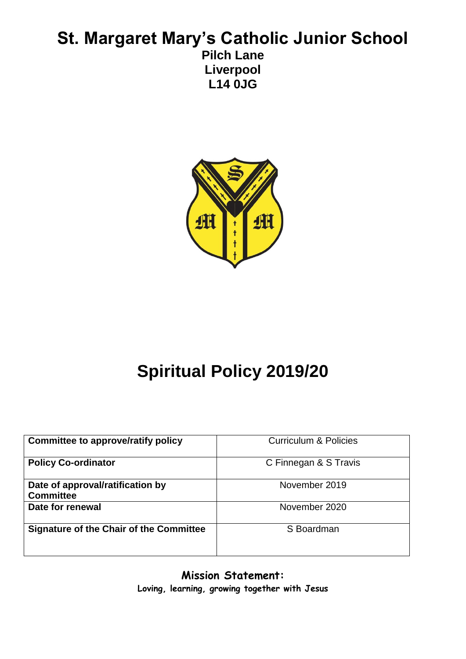# **St. Margaret Mary's Catholic Junior School**

**Pilch Lane Liverpool L14 0JG**



# **Spiritual Policy 2019/20**

| <b>Committee to approve/ratify policy</b>            | <b>Curriculum &amp; Policies</b> |
|------------------------------------------------------|----------------------------------|
| <b>Policy Co-ordinator</b>                           | C Finnegan & S Travis            |
| Date of approval/ratification by<br><b>Committee</b> | November 2019                    |
| Date for renewal                                     | November 2020                    |
| <b>Signature of the Chair of the Committee</b>       | S Boardman                       |

**Mission Statement: Loving, learning, growing together with Jesus**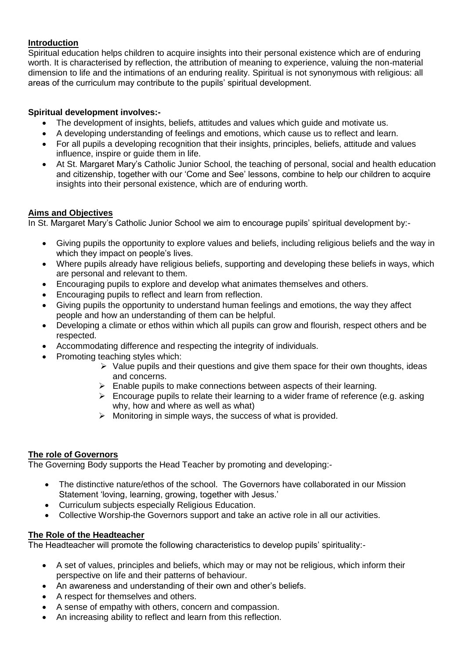# **Introduction**

Spiritual education helps children to acquire insights into their personal existence which are of enduring worth. It is characterised by reflection, the attribution of meaning to experience, valuing the non-material dimension to life and the intimations of an enduring reality. Spiritual is not synonymous with religious: all areas of the curriculum may contribute to the pupils' spiritual development.

# **Spiritual development involves:-**

- The development of insights, beliefs, attitudes and values which guide and motivate us.
- A developing understanding of feelings and emotions, which cause us to reflect and learn.
- For all pupils a developing recognition that their insights, principles, beliefs, attitude and values influence, inspire or guide them in life.
- At St. Margaret Mary's Catholic Junior School, the teaching of personal, social and health education and citizenship, together with our 'Come and See' lessons, combine to help our children to acquire insights into their personal existence, which are of enduring worth.

## **Aims and Objectives**

In St. Margaret Mary's Catholic Junior School we aim to encourage pupils' spiritual development by:-

- Giving pupils the opportunity to explore values and beliefs, including religious beliefs and the way in which they impact on people's lives.
- Where pupils already have religious beliefs, supporting and developing these beliefs in ways, which are personal and relevant to them.
- Encouraging pupils to explore and develop what animates themselves and others.
- Encouraging pupils to reflect and learn from reflection.
- Giving pupils the opportunity to understand human feelings and emotions, the way they affect people and how an understanding of them can be helpful.
- Developing a climate or ethos within which all pupils can grow and flourish, respect others and be respected.
- Accommodating difference and respecting the integrity of individuals.
- Promoting teaching styles which:
	- $\triangleright$  Value pupils and their questions and give them space for their own thoughts, ideas and concerns.
	- $\triangleright$  Enable pupils to make connections between aspects of their learning.
	- $\triangleright$  Encourage pupils to relate their learning to a wider frame of reference (e.g. asking why, how and where as well as what)
	- $\triangleright$  Monitoring in simple ways, the success of what is provided.

#### **The role of Governors**

The Governing Body supports the Head Teacher by promoting and developing:-

- The distinctive nature/ethos of the school. The Governors have collaborated in our Mission Statement 'loving, learning, growing, together with Jesus.'
- Curriculum subjects especially Religious Education.
- Collective Worship-the Governors support and take an active role in all our activities.

#### **The Role of the Headteacher**

The Headteacher will promote the following characteristics to develop pupils' spirituality:-

- A set of values, principles and beliefs, which may or may not be religious, which inform their perspective on life and their patterns of behaviour.
- An awareness and understanding of their own and other's beliefs.
- A respect for themselves and others.
- A sense of empathy with others, concern and compassion.
- An increasing ability to reflect and learn from this reflection.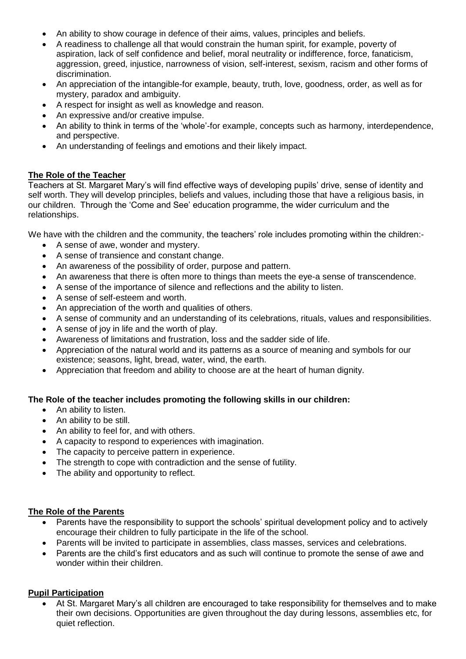- An ability to show courage in defence of their aims, values, principles and beliefs.
- A readiness to challenge all that would constrain the human spirit, for example, poverty of aspiration, lack of self confidence and belief, moral neutrality or indifference, force, fanaticism, aggression, greed, injustice, narrowness of vision, self-interest, sexism, racism and other forms of discrimination.
- An appreciation of the intangible-for example, beauty, truth, love, goodness, order, as well as for mystery, paradox and ambiguity.
- A respect for insight as well as knowledge and reason.
- An expressive and/or creative impulse.
- An ability to think in terms of the 'whole'-for example, concepts such as harmony, interdependence, and perspective.
- An understanding of feelings and emotions and their likely impact.

# **The Role of the Teacher**

Teachers at St. Margaret Mary's will find effective ways of developing pupils' drive, sense of identity and self worth. They will develop principles, beliefs and values, including those that have a religious basis, in our children. Through the 'Come and See' education programme, the wider curriculum and the relationships.

We have with the children and the community, the teachers' role includes promoting within the children:-

- A sense of awe, wonder and mystery.
- A sense of transience and constant change.
- An awareness of the possibility of order, purpose and pattern.
- An awareness that there is often more to things than meets the eye-a sense of transcendence.
- A sense of the importance of silence and reflections and the ability to listen.
- A sense of self-esteem and worth.
- An appreciation of the worth and qualities of others.
- A sense of community and an understanding of its celebrations, rituals, values and responsibilities.
- A sense of joy in life and the worth of play.
- Awareness of limitations and frustration, loss and the sadder side of life.
- Appreciation of the natural world and its patterns as a source of meaning and symbols for our existence; seasons, light, bread, water, wind, the earth.
- Appreciation that freedom and ability to choose are at the heart of human dignity.

#### **The Role of the teacher includes promoting the following skills in our children:**

- An ability to listen.
- An ability to be still.
- An ability to feel for, and with others.
- A capacity to respond to experiences with imagination.
- The capacity to perceive pattern in experience.
- The strength to cope with contradiction and the sense of futility.
- The ability and opportunity to reflect.

#### **The Role of the Parents**

- Parents have the responsibility to support the schools' spiritual development policy and to actively encourage their children to fully participate in the life of the school.
- Parents will be invited to participate in assemblies, class masses, services and celebrations.
- Parents are the child's first educators and as such will continue to promote the sense of awe and wonder within their children.

# **Pupil Participation**

 At St. Margaret Mary's all children are encouraged to take responsibility for themselves and to make their own decisions. Opportunities are given throughout the day during lessons, assemblies etc, for quiet reflection.